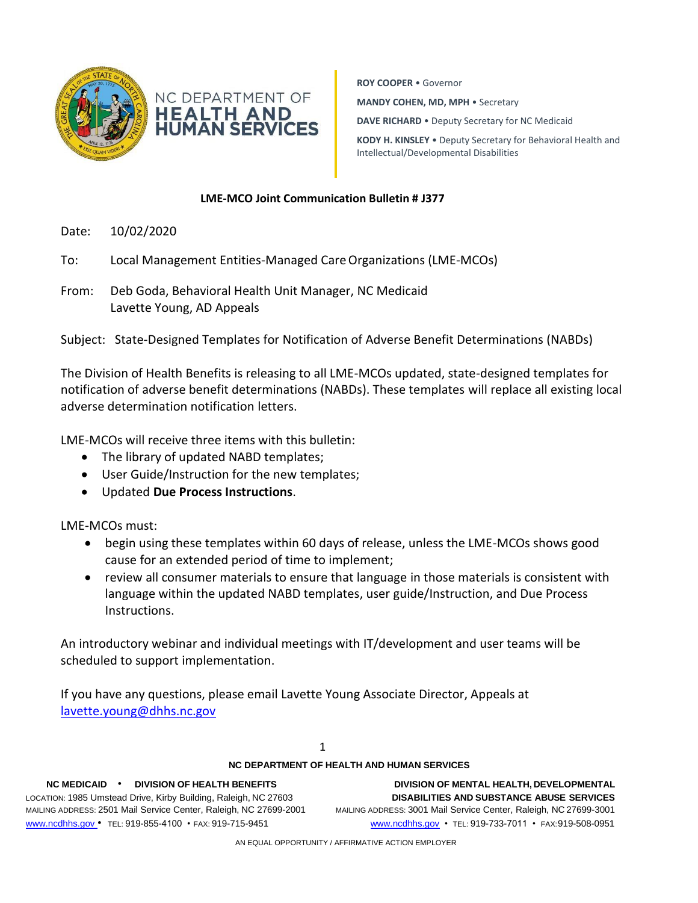

**ROY COOPER** • Governor **MANDY COHEN, MD, MPH** • Secretary **DAVE RICHARD** • Deputy Secretary for NC Medicaid **KODY H. KINSLEY** • Deputy Secretary for Behavioral Health and Intellectual/Developmental Disabilities

## **LME-MCO Joint Communication Bulletin # J377**

- Date: 10/02/2020
- To: Local Management Entities-Managed CareOrganizations (LME-MCOs)
- From: Deb Goda, Behavioral Health Unit Manager, NC Medicaid Lavette Young, AD Appeals

Subject: State-Designed Templates for Notification of Adverse Benefit Determinations (NABDs)

The Division of Health Benefits is releasing to all LME-MCOs updated, state-designed templates for notification of adverse benefit determinations (NABDs). These templates will replace all existing local adverse determination notification letters.

LME-MCOs will receive three items with this bulletin:

- The library of updated NABD templates;
- User Guide/Instruction for the new templates;
- Updated **Due Process Instructions**.

LME-MCOs must:

- begin using these templates within 60 days of release, unless the LME-MCOs shows good cause for an extended period of time to implement;
- review all consumer materials to ensure that language in those materials is consistent with language within the updated NABD templates, user guide/Instruction, and Due Process Instructions.

An introductory webinar and individual meetings with IT/development and user teams will be scheduled to support implementation.

If you have any questions, please email Lavette Young Associate Director, Appeals at [lavette.young@dhhs.nc.gov](mailto:lavette.young@dhhs.nc.gov)

1

## **NC DEPARTMENT OF HEALTH AND HUMAN SERVICES**

LOCATION: 1985 Umstead Drive, Kirby Building, Raleigh, NC 27603 **DISABILITIES AND SUBSTANCE ABUSE SERVICES** MAILING ADDRESS: 2501 Mail Service Center, Raleigh, NC 27699-2001 MAILING ADDRESS: 3001 Mail Service Center, Raleigh, NC 27699-3001 [www.ncdhhs.gov](http://www.ncdhhs.gov/) • TEL: 919-855-4100 • FAX: 919-715-9451 [www.ncdhhs.gov](http://www.ncdhhs.gov/) • TEL: 919-733-7011 • FAX:919-508-0951

**NC MEDICAID** • **DIVISION OF HEALTH BENEFITS DIVISION OF MENTAL HEALTH, DEVELOPMENTAL**